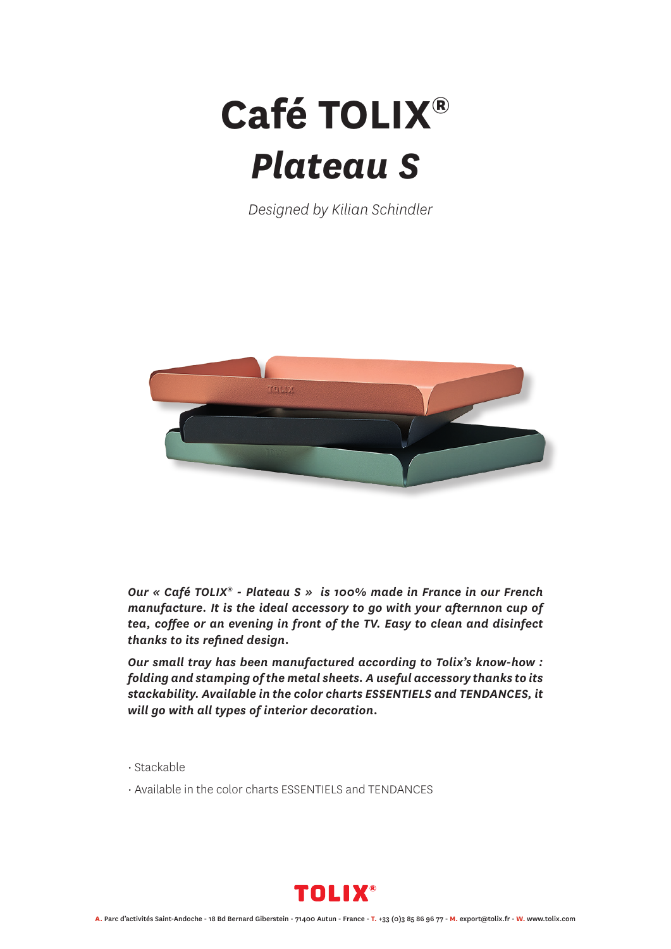## **Café TOLIX®** *Plateau S*

*Designed by Kilian Schindler*



*Our « Café TOLIX® - Plateau S » is 100% made in France in our French manufacture. It is the ideal accessory to go with your afternnon cup of tea, coffee or an evening in front of the TV. Easy to clean and disinfect thanks to its refined design.* 

*Our small tray has been manufactured according to Tolix's know-how : folding and stamping of the metal sheets. A useful accessory thanks to its stackability. Available in the color charts ESSENTIELS and TENDANCES, it will go with all types of interior decoration.*

• Stackable

• Available in the color charts ESSENTIELS and TENDANCES